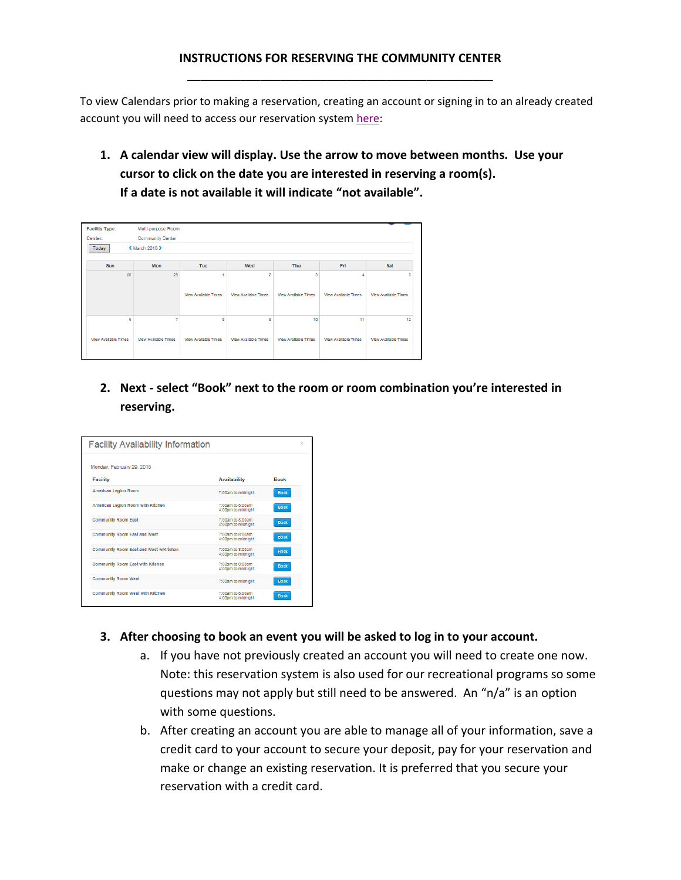## **INSTRUCTIONS FOR RESERVING THE COMMUNITY CENTER \_\_\_\_\_\_\_\_\_\_\_\_\_\_\_\_\_\_\_\_\_\_\_\_\_\_\_\_\_\_\_\_\_\_\_\_\_\_\_\_\_\_\_\_\_\_**

To view Calendars prior to making a reservation, creating an account or signing in to an already created account you will need to access our reservation syste[m here:](https://apm.activecommunities.com/steamboatsprings/facility_search?IsCalendar=true&TypeID=38¢er_id=4&KeywordID=0&year=2016&month=2&startyear=2016&endyear=2021)

**1. A calendar view will display. Use the arrow to move between months. Use your cursor to click on the date you are interested in reserving a room(s). If a date is not available it will indicate "not available".**

| <b>Facility Type:</b><br>Center:                                                       | Multi-purpose Room<br><b>Community Center</b> |                             |                             |                             |                             |                             |
|----------------------------------------------------------------------------------------|-----------------------------------------------|-----------------------------|-----------------------------|-----------------------------|-----------------------------|-----------------------------|
| K March 2016 ><br>Today<br>Fri<br>Sat<br>Sun<br>Mon<br><b>Tue</b><br>Wed<br><b>Thu</b> |                                               |                             |                             |                             |                             |                             |
| 28                                                                                     | 29                                            |                             | $\overline{2}$              | 3                           |                             | 5                           |
|                                                                                        |                                               | <b>View Available Times</b> | <b>View Available Times</b> | <b>View Available Times</b> | <b>View Available Times</b> | <b>View Available Times</b> |
| 6                                                                                      | ÷,                                            | 8                           | $\overline{9}$              | 10                          | 11                          | 12                          |
| View Available Times                                                                   | <b>View Available Times</b>                   | <b>View Available Times</b> | <b>View Available Times</b> | View Available Times        | <b>View Available Times</b> | <b>View Available Times</b> |

**2. Next - select "Book" next to the room or room combination you're interested in reserving.**

| <b>Facility Availability Information</b> |                                        |             |
|------------------------------------------|----------------------------------------|-------------|
| Monday, February 29, 2016                |                                        |             |
| <b>Facility</b>                          | <b>Availability</b>                    | <b>Book</b> |
| <b>American Legion Room</b>              | 7:00am to midnight                     | <b>Book</b> |
| American Legion Room with Kitchen        | 7:00am to 8:00am<br>4:00pm to midnight | <b>Book</b> |
| <b>Community Room East</b>               | 7:00am to 8:00am<br>4:00pm to midnight | <b>Book</b> |
| <b>Community Room East and West</b>      | 7:00am to 8:00am<br>4:00pm to midnight | <b>Book</b> |
| Community Room East and West w/Kitchen   | 7:00am to 8:00am<br>4:00pm to midnight | <b>Book</b> |
| <b>Community Room East with Kitchen</b>  | 7:00am to 8:00am<br>4:00pm to midnight | <b>Book</b> |
| <b>Community Room West</b>               | 7:00am to midnight                     | <b>Book</b> |
| Community Room West with Kitchen         | 7:00am to 8:00am<br>4:00pm to midnight | <b>Book</b> |
|                                          |                                        |             |

- **3. After choosing to book an event you will be asked to log in to your account.**
	- a. If you have not previously created an account you will need to create one now. Note: this reservation system is also used for our recreational programs so some questions may not apply but still need to be answered. An "n/a" is an option with some questions.
	- b. After creating an account you are able to manage all of your information, save a credit card to your account to secure your deposit, pay for your reservation and make or change an existing reservation. It is preferred that you secure your reservation with a credit card.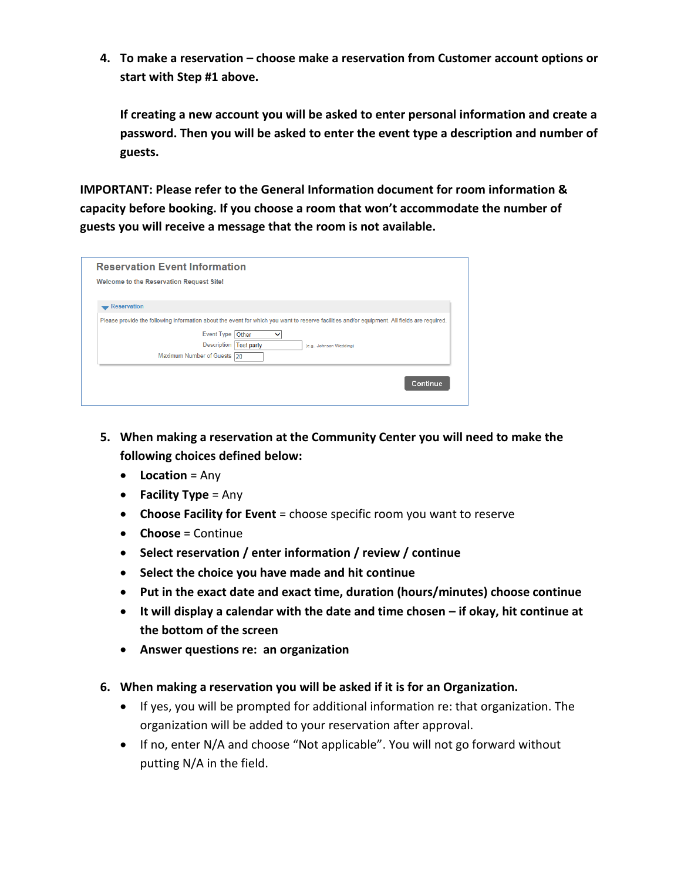**4. To make a reservation – choose make a reservation from Customer account options or start with Step #1 above.**

**If creating a new account you will be asked to enter personal information and create a password. Then you will be asked to enter the event type a description and number of guests.** 

**IMPORTANT: Please refer to the General Information document for room information & capacity before booking. If you choose a room that won't accommodate the number of guests you will receive a message that the room is not available.**

|                      | <b>Reservation Event Information</b>                                                                                                         |
|----------------------|----------------------------------------------------------------------------------------------------------------------------------------------|
|                      | <b>Welcome to the Reservation Request Site!</b>                                                                                              |
|                      |                                                                                                                                              |
| <b>-</b> Reservation |                                                                                                                                              |
|                      | Please provide the following information about the event for which you want to reserve facilities and/or equipment. All fields are required. |
|                      | Event Type Other<br>$\checkmark$                                                                                                             |
|                      | <b>Description</b><br><b>Test party</b><br>(e.g., Johnson Wedding)                                                                           |
|                      | Maximum Number of Guests 20                                                                                                                  |

- **5. When making a reservation at the Community Center you will need to make the following choices defined below:**
	- **Location** = Any
	- **Facility Type** = Any
	- **Choose Facility for Event** = choose specific room you want to reserve
	- **Choose** = Continue
	- **Select reservation / enter information / review / continue**
	- **Select the choice you have made and hit continue**
	- **Put in the exact date and exact time, duration (hours/minutes) choose continue**
	- **It will display a calendar with the date and time chosen – if okay, hit continue at the bottom of the screen**
	- **Answer questions re: an organization**
- **6. When making a reservation you will be asked if it is for an Organization.** 
	- If yes, you will be prompted for additional information re: that organization. The organization will be added to your reservation after approval.
	- If no, enter N/A and choose "Not applicable". You will not go forward without putting N/A in the field.